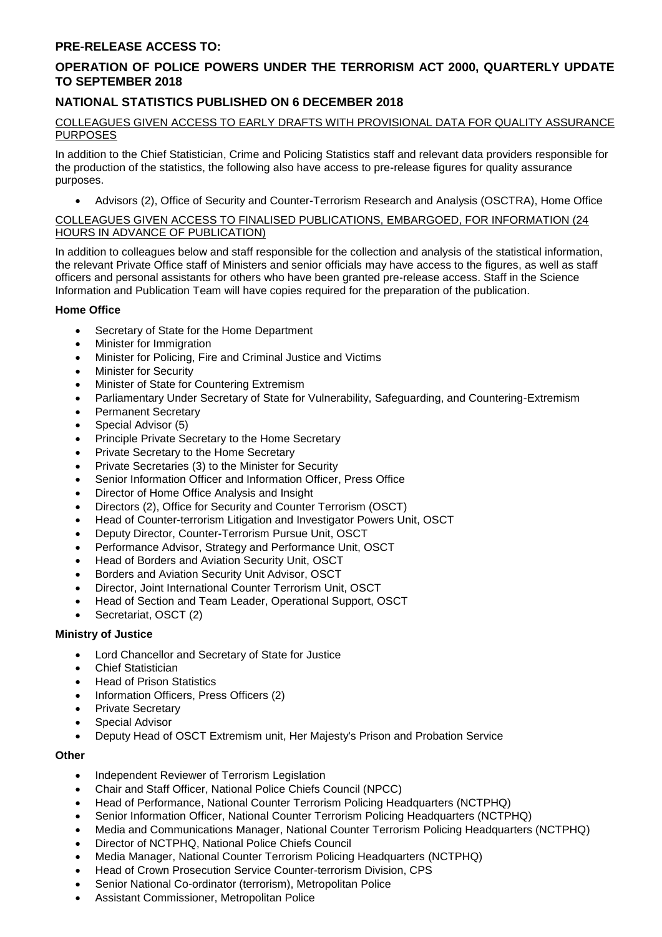## **PRE-RELEASE ACCESS TO:**

# **OPERATION OF POLICE POWERS UNDER THE TERRORISM ACT 2000, QUARTERLY UPDATE TO SEPTEMBER 2018**

## **NATIONAL STATISTICS PUBLISHED ON 6 DECEMBER 2018**

#### COLLEAGUES GIVEN ACCESS TO EARLY DRAFTS WITH PROVISIONAL DATA FOR QUALITY ASSURANCE PURPOSES

In addition to the Chief Statistician, Crime and Policing Statistics staff and relevant data providers responsible for the production of the statistics, the following also have access to pre-release figures for quality assurance purposes.

• Advisors (2), Office of Security and Counter-Terrorism Research and Analysis (OSCTRA), Home Office

#### COLLEAGUES GIVEN ACCESS TO FINALISED PUBLICATIONS, EMBARGOED, FOR INFORMATION (24 HOURS IN ADVANCE OF PUBLICATION)

In addition to colleagues below and staff responsible for the collection and analysis of the statistical information, the relevant Private Office staff of Ministers and senior officials may have access to the figures, as well as staff officers and personal assistants for others who have been granted pre-release access. Staff in the Science Information and Publication Team will have copies required for the preparation of the publication.

## **Home Office**

- Secretary of State for the Home Department
- Minister for Immigration
- Minister for Policing, Fire and Criminal Justice and Victims
- **Minister for Security**
- Minister of State for Countering Extremism
- Parliamentary Under Secretary of State for Vulnerability, Safeguarding, and Countering-Extremism
- Permanent Secretary
- Special Advisor (5)
- Principle Private Secretary to the Home Secretary
- Private Secretary to the Home Secretary
- Private Secretaries (3) to the Minister for Security
- Senior Information Officer and Information Officer, Press Office
- Director of Home Office Analysis and Insight
- Directors (2), Office for Security and Counter Terrorism (OSCT)
- Head of Counter-terrorism Litigation and Investigator Powers Unit, OSCT
- Deputy Director, Counter-Terrorism Pursue Unit, OSCT
- Performance Advisor, Strategy and Performance Unit, OSCT
- Head of Borders and Aviation Security Unit, OSCT
- Borders and Aviation Security Unit Advisor, OSCT
- Director, Joint International Counter Terrorism Unit, OSCT
- Head of Section and Team Leader, Operational Support, OSCT
- Secretariat, OSCT (2)

## **Ministry of Justice**

- Lord Chancellor and Secretary of State for Justice
- Chief Statistician
- Head of Prison Statistics
- Information Officers, Press Officers (2)
- **Private Secretary**
- Special Advisor
- Deputy Head of OSCT Extremism unit, Her Majesty's Prison and Probation Service

## **Other**

- Independent Reviewer of Terrorism Legislation
- Chair and Staff Officer, National Police Chiefs Council (NPCC)
- Head of Performance, National Counter Terrorism Policing Headquarters (NCTPHQ)
- Senior Information Officer, National Counter Terrorism Policing Headquarters (NCTPHQ)
- Media and Communications Manager, National Counter Terrorism Policing Headquarters (NCTPHQ)
- Director of NCTPHQ, National Police Chiefs Council
- Media Manager, National Counter Terrorism Policing Headquarters (NCTPHQ)
- Head of Crown Prosecution Service Counter-terrorism Division, CPS
- Senior National Co-ordinator (terrorism), Metropolitan Police
- Assistant Commissioner, Metropolitan Police